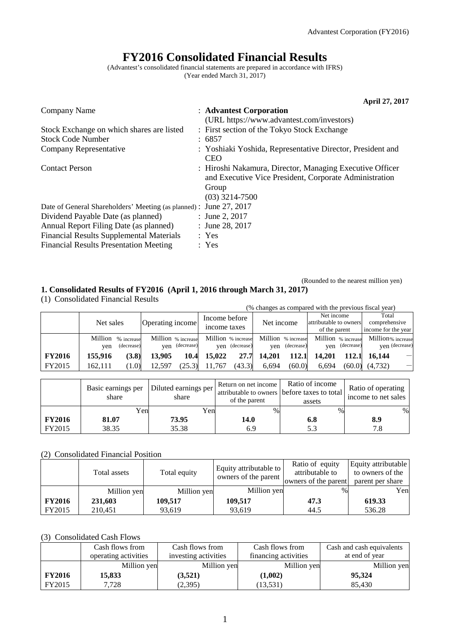(Rounded to the nearest million yen)

# **FY2016 Consolidated Financial Results**

(Advantest's consolidated financial statements are prepared in accordance with IFRS) (Year ended March 31, 2017)

|                                                                    | April 27, 2017                                                                                                                                  |
|--------------------------------------------------------------------|-------------------------------------------------------------------------------------------------------------------------------------------------|
| Company Name                                                       | : Advantest Corporation                                                                                                                         |
|                                                                    | (URL https://www.advantest.com/investors)                                                                                                       |
| Stock Exchange on which shares are listed                          | : First section of the Tokyo Stock Exchange                                                                                                     |
| <b>Stock Code Number</b>                                           | : 6857                                                                                                                                          |
| Company Representative                                             | : Yoshiaki Yoshida, Representative Director, President and<br><b>CEO</b>                                                                        |
| <b>Contact Person</b>                                              | : Hiroshi Nakamura, Director, Managing Executive Officer<br>and Executive Vice President, Corporate Administration<br>Group<br>$(03)$ 3214-7500 |
| Date of General Shareholders' Meeting (as planned) : June 27, 2017 |                                                                                                                                                 |
| Dividend Payable Date (as planned)                                 | : June 2, 2017                                                                                                                                  |
| Annual Report Filing Date (as planned)                             | : June 28, 2017                                                                                                                                 |
| <b>Financial Results Supplemental Materials</b>                    | : Yes                                                                                                                                           |
| <b>Financial Results Presentation Meeting</b>                      | : Yes                                                                                                                                           |

**1. Consolidated Results of FY2016 (April 1, 2016 through March 31, 2017)** (1) Consolidated Financial Results

|               | (% changes as compared with the previous fiscal year) |                                  |                  |                                      |                               |                |                    |                |                                                       |                |                                               |                |
|---------------|-------------------------------------------------------|----------------------------------|------------------|--------------------------------------|-------------------------------|----------------|--------------------|----------------|-------------------------------------------------------|----------------|-----------------------------------------------|----------------|
|               | Net sales                                             |                                  | Operating income |                                      | Income before<br>income taxes |                | Net income         |                | Net income<br>attributable to owners<br>of the parent |                | Total<br>comprehensive<br>income for the year |                |
|               | ven                                                   | Million % increase<br>(decrease) |                  | Million % increase<br>ven (decrease) | Million % increase            | yen (decrease) | Million % increase | ven (decrease) | Million % increase                                    | yen (decrease) | Million% increase                             | ven (decrease) |
| <b>FY2016</b> | 155,916                                               | (3.8)                            | 13.905           | 10.4                                 | 15.022                        | 27.7           | 14.201             | 112.1          | 14.201                                                | 112.1          | 16.144                                        |                |
| FY2015        | 162.111                                               | (1.0)                            | 12.597           | (25.3)                               | 11,767                        | (43.3)         | 6.694              | (60.0)         | 6.694                                                 | (60.0)         | (4,732)                                       |                |

|               | Diluted earnings per<br>Basic earnings per<br>share<br>share |       | Return on net income<br>of the parent | Ratio of income<br>attributable to owners before taxes to total<br>assets | Ratio of operating<br>income to net sales |
|---------------|--------------------------------------------------------------|-------|---------------------------------------|---------------------------------------------------------------------------|-------------------------------------------|
|               | Yen                                                          | Yen   | $\%$                                  | $\%$                                                                      | %                                         |
| <b>FY2016</b> | 81.07                                                        | 73.95 | 14.0                                  | 6.8                                                                       | 8.9                                       |
| FY2015        | 38.35                                                        | 35.38 | 6.9                                   |                                                                           | 7.8                                       |

## (2) Consolidated Financial Position

|               | Total assets | Total equity | Equity attributable to<br>owners of the parent | Ratio of equity<br>attributable to<br>owners of the parent | Equity attributable<br>to owners of the<br>parent per share |
|---------------|--------------|--------------|------------------------------------------------|------------------------------------------------------------|-------------------------------------------------------------|
|               | Million yen  | Million yen  | Million yen                                    | $\%$                                                       | Yen                                                         |
| <b>FY2016</b> | 231,603      | 109.517      | 109,517                                        | 47.3                                                       | 619.33                                                      |
| FY2015        | 210.451      | 93.619       | 93,619                                         | 44.5                                                       | 536.28                                                      |

## (3) Consolidated Cash Flows

|               | Cash flows from      | Cash flows from      | Cash flows from      | Cash and cash equivalents |
|---------------|----------------------|----------------------|----------------------|---------------------------|
|               | operating activities | investing activities | financing activities | at end of year            |
|               | Million yen          | Million yen          | Million yen          | Million yen               |
| <b>FY2016</b> | 15,833               | (3,521)              | (1,002)              | 95,324                    |
| FY2015        | 7.728                | (2,395)              | (13, 531)            | 85.430                    |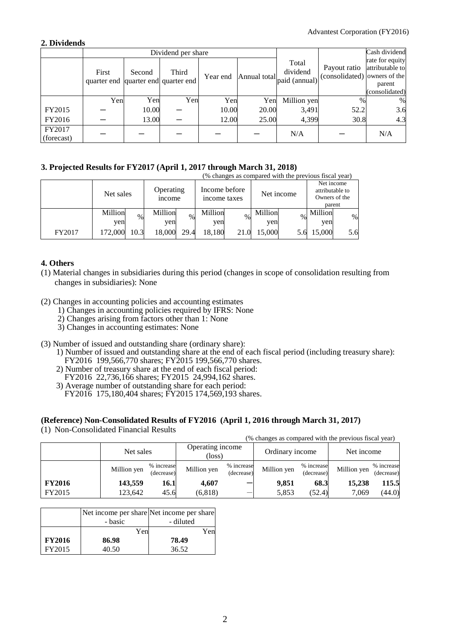## **2. Dividends**

|                      |                                              |        | Dividend per share |          |              | Cash dividend                      |                                              |                                                                |
|----------------------|----------------------------------------------|--------|--------------------|----------|--------------|------------------------------------|----------------------------------------------|----------------------------------------------------------------|
|                      | First<br>quarter end quarter end quarter end | Second | Third              | Year end | Annual total | Total<br>dividend<br>paid (annual) | Payout ratio<br>(consolidated) owners of the | rate for equity<br>attributable to<br>parent<br>(consolidated) |
|                      | Yen                                          | Yen    | Yen                | Yen      | Yen          | Million yen                        | $\%$                                         | %                                                              |
| FY2015               |                                              | 10.00  |                    | 10.00    | 20.00        | 3,491                              | 52.2                                         | 3.6                                                            |
| FY2016               |                                              | 13.00  |                    | 12.00    | 25.00        | 4,399                              | 30.8                                         | 4.3                                                            |
| FY2017<br>(forecast) |                                              |        |                    |          |              | N/A                                |                                              | N/A                                                            |

## **3. Projected Results for FY2017 (April 1, 2017 through March 31, 2018)**

|        |                |           |                |                                                      |                |            |                | (% changes as compared with the previous fiscal year) |                 |                                       |
|--------|----------------|-----------|----------------|------------------------------------------------------|----------------|------------|----------------|-------------------------------------------------------|-----------------|---------------------------------------|
|        |                | Net sales |                | Income before<br>Operating<br>income taxes<br>income |                | Net income |                |                                                       | attributable to | Net income<br>Owners of the<br>parent |
|        | Million<br>yen | $\%$      | Million<br>yen | $\%$                                                 | Million<br>yen | $\%$       | Million<br>yen | $\%$                                                  | Million<br>ven  | $\%$                                  |
| FY2017 | 172,000        | 10.3      | 18,000         | 29.4                                                 | 18.180         | 21.0       | 15,000         |                                                       | 15,000          | 5.6                                   |

## **4. Others**

- (1) Material changes in subsidiaries during this period (changes in scope of consolidation resulting from changes in subsidiaries): None
- (2) Changes in accounting policies and accounting estimates
	- 1) Changes in accounting policies required by IFRS: None
	- 2) Changes arising from factors other than 1: None
	- 3) Changes in accounting estimates: None
- (3) Number of issued and outstanding share (ordinary share):
	- 1) Number of issued and outstanding share at the end of each fiscal period (including treasury share): FY2016 199,566,770 shares; FY2015 199,566,770 shares.
	- 2) Number of treasury share at the end of each fiscal period:
	- FY2016 22,736,166 shares; FY2015 24,994,162 shares.
	- 3) Average number of outstanding share for each period:
	- FY2016 175,180,404 shares; FY2015 174,569,193 shares.

## **(Reference) Non-Consolidated Results of FY2016 (April 1, 2016 through March 31, 2017)**

(1) Non-Consolidated Financial Results

|               | Net sales   |                          | Operating income<br>$(\text{loss})$ |                          | Ordinary income |                          | Net income  |                          |
|---------------|-------------|--------------------------|-------------------------------------|--------------------------|-----------------|--------------------------|-------------|--------------------------|
|               | Million yen | % increase<br>(decrease) | Million yen                         | % increase<br>(decrease) | Million yen     | % increase<br>(decrease) | Million yen | % increase<br>(decrease) |
| <b>FY2016</b> | 143,559     | 16.1                     | 4.607                               |                          | 9,851           | 68.3                     | 15,238      | 115.5                    |
| FY2015        | 123.642     | 45.6                     | (6, 818)                            | –                        | 5,853           | (52.4)                   | 7.069       | (44.0)                   |

(% changes as compared with the previous fiscal year)

|               | - basic | Net income per share Net income per share<br>- diluted |
|---------------|---------|--------------------------------------------------------|
|               | Yen     | Yen                                                    |
| <b>FY2016</b> | 86.98   | 78.49                                                  |
| FY2015        | 40.50   | 36.52                                                  |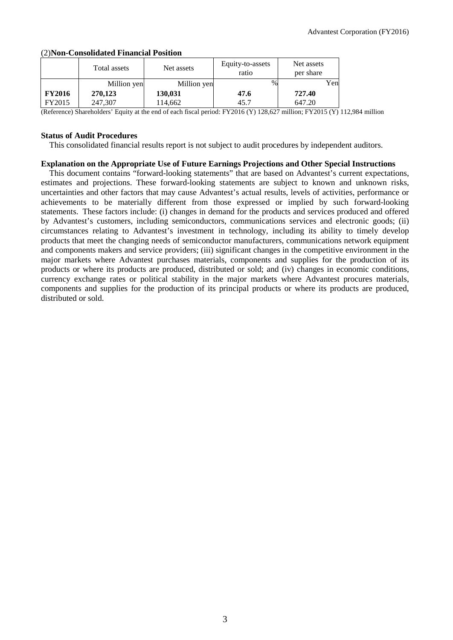|               | Total assets | Net assets  | Equity-to-assets<br>ratio | Net assets<br>per share |
|---------------|--------------|-------------|---------------------------|-------------------------|
|               | Million yen  | Million yen | %                         | Yen                     |
| <b>FY2016</b> | 270,123      | 130,031     | 47.6                      | 727.40                  |
| FY2015        | 247,307      | 114,662     | 45.7                      | 647.20                  |

### (2)**Non-Consolidated Financial Position**

(Reference) Shareholders' Equity at the end of each fiscal period: FY2016 (Y) 128,627 million; FY2015 (Y) 112,984 million

### **Status of Audit Procedures**

This consolidated financial results report is not subject to audit procedures by independent auditors.

### **Explanation on the Appropriate Use of Future Earnings Projections and Other Special Instructions**

This document contains "forward-looking statements" that are based on Advantest's current expectations, estimates and projections. These forward-looking statements are subject to known and unknown risks, uncertainties and other factors that may cause Advantest's actual results, levels of activities, performance or achievements to be materially different from those expressed or implied by such forward-looking statements. These factors include: (i) changes in demand for the products and services produced and offered by Advantest's customers, including semiconductors, communications services and electronic goods; (ii) circumstances relating to Advantest's investment in technology, including its ability to timely develop products that meet the changing needs of semiconductor manufacturers, communications network equipment and components makers and service providers; (iii) significant changes in the competitive environment in the major markets where Advantest purchases materials, components and supplies for the production of its products or where its products are produced, distributed or sold; and (iv) changes in economic conditions, currency exchange rates or political stability in the major markets where Advantest procures materials, components and supplies for the production of its principal products or where its products are produced, distributed or sold.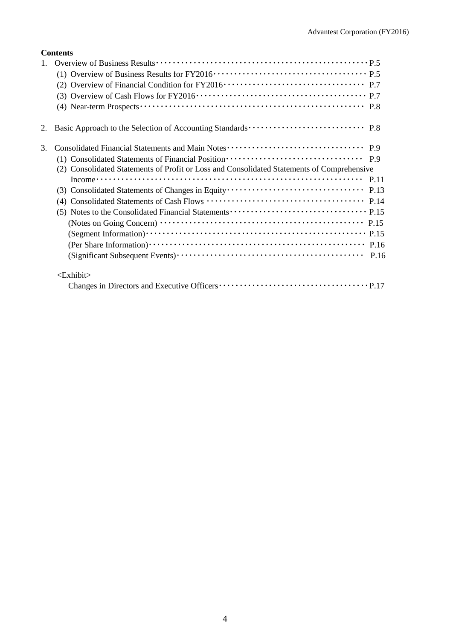| 3. |                                                                                                                                                                                                                                                                                                                                            |
|----|--------------------------------------------------------------------------------------------------------------------------------------------------------------------------------------------------------------------------------------------------------------------------------------------------------------------------------------------|
|    |                                                                                                                                                                                                                                                                                                                                            |
|    | (2) Consolidated Statements of Profit or Loss and Consolidated Statements of Comprehensive                                                                                                                                                                                                                                                 |
|    | Income $\cdots$ $\cdots$ $\cdots$ $\cdots$ $\cdots$ $\cdots$ $\cdots$ $\cdots$ $\cdots$ $\cdots$ $\cdots$ $\cdots$ $\cdots$ $\cdots$ $\cdots$ $\cdots$ $\cdots$ $\cdots$ $\cdots$ $\cdots$ $\cdots$ $\cdots$ $\cdots$ $\cdots$ $\cdots$ $\cdots$ $\cdots$ $\cdots$ $\cdots$ $\cdots$ $\cdots$ $\cdots$ $\cdots$ $\cdots$ $\cdots$ $\cdots$ |
|    |                                                                                                                                                                                                                                                                                                                                            |
|    |                                                                                                                                                                                                                                                                                                                                            |
|    |                                                                                                                                                                                                                                                                                                                                            |
|    |                                                                                                                                                                                                                                                                                                                                            |
|    |                                                                                                                                                                                                                                                                                                                                            |
|    |                                                                                                                                                                                                                                                                                                                                            |
|    |                                                                                                                                                                                                                                                                                                                                            |
|    | $\le$ Exhibit $>$                                                                                                                                                                                                                                                                                                                          |
|    |                                                                                                                                                                                                                                                                                                                                            |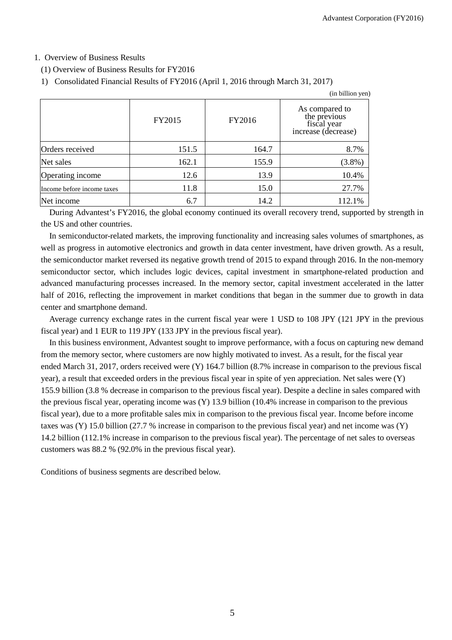(in billion yen)

## 1. Overview of Business Results

(1) Overview of Business Results for FY2016

```
1) Consolidated Financial Results of FY2016 (April 1, 2016 through March 31, 2017)
```

|                            |        |        | an omnon you                                                         |
|----------------------------|--------|--------|----------------------------------------------------------------------|
|                            | FY2015 | FY2016 | As compared to<br>the previous<br>fiscal year<br>increase (decrease) |
| Orders received            | 151.5  | 164.7  | 8.7%                                                                 |
| Net sales                  | 162.1  | 155.9  | $(3.8\%)$                                                            |
| Operating income           | 12.6   | 13.9   | 10.4%                                                                |
| Income before income taxes | 11.8   | 15.0   | 27.7%                                                                |
| Net income                 | 6.7    | 14.2   | 112.1%                                                               |

During Advantest's FY2016, the global economy continued its overall recovery trend, supported by strength in the US and other countries.

In semiconductor-related markets, the improving functionality and increasing sales volumes of smartphones, as well as progress in automotive electronics and growth in data center investment, have driven growth. As a result, the semiconductor market reversed its negative growth trend of 2015 to expand through 2016. In the non-memory semiconductor sector, which includes logic devices, capital investment in smartphone-related production and advanced manufacturing processes increased. In the memory sector, capital investment accelerated in the latter half of 2016, reflecting the improvement in market conditions that began in the summer due to growth in data center and smartphone demand.

Average currency exchange rates in the current fiscal year were 1 USD to 108 JPY (121 JPY in the previous fiscal year) and 1 EUR to 119 JPY (133 JPY in the previous fiscal year).

In this business environment, Advantest sought to improve performance, with a focus on capturing new demand from the memory sector, where customers are now highly motivated to invest. As a result, for the fiscal year ended March 31, 2017, orders received were (Y) 164.7 billion (8.7% increase in comparison to the previous fiscal year), a result that exceeded orders in the previous fiscal year in spite of yen appreciation. Net sales were (Y) 155.9 billion (3.8 % decrease in comparison to the previous fiscal year). Despite a decline in sales compared with the previous fiscal year, operating income was (Y) 13.9 billion (10.4% increase in comparison to the previous fiscal year), due to a more profitable sales mix in comparison to the previous fiscal year. Income before income taxes was (Y) 15.0 billion (27.7 % increase in comparison to the previous fiscal year) and net income was (Y) 14.2 billion (112.1% increase in comparison to the previous fiscal year). The percentage of net sales to overseas customers was 88.2 % (92.0% in the previous fiscal year).

Conditions of business segments are described below.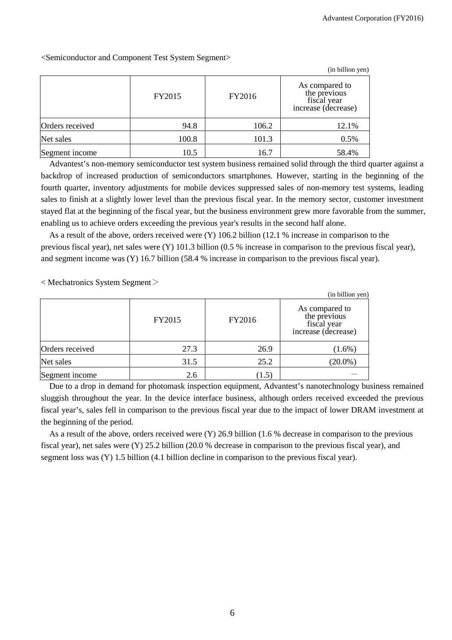(in billion yen) FY2015 FY2016 As compared to the previous fiscal year increase (decrease) Orders received 106.2 106.2 12.1% Net sales 100.8 100.8 101.3 0.5% Segment income  $10.5$  10.5 16.7 16.7 58.4%

<Semiconductor and Component Test System Segment>

Advantest's non-memory semiconductor test system business remained solid through the third quarter against a backdrop of increased production of semiconductors smartphones. However, starting in the beginning of the fourth quarter, inventory adjustments for mobile devices suppressed sales of non-memory test systems, leading sales to finish at a slightly lower level than the previous fiscal year. In the memory sector, customer investment stayed flat at the beginning of the fiscal year, but the business environment grew more favorable from the summer, enabling us to achieve orders exceeding the previous year's results in the second half alone.

As a result of the above, orders received were (Y) 106.2 billion (12.1 % increase in comparison to the previous fiscal year), net sales were (Y) 101.3 billion (0.5 % increase in comparison to the previous fiscal year), and segment income was (Y) 16.7 billion (58.4 % increase in comparison to the previous fiscal year).

< Mechatronics System Segment>

|                 |        |        | (in billion yen)                                                     |
|-----------------|--------|--------|----------------------------------------------------------------------|
|                 | FY2015 | FY2016 | As compared to<br>the previous<br>fiscal year<br>increase (decrease) |
| Orders received | 27.3   | 26.9   | $(1.6\%)$                                                            |
| Net sales       | 31.5   | 25.2   | $(20.0\%)$                                                           |
| Segment income  | 2.6    | (1.5)  |                                                                      |

Due to a drop in demand for photomask inspection equipment, Advantest's nanotechnology business remained sluggish throughout the year. In the device interface business, although orders received exceeded the previous fiscal year's, sales fell in comparison to the previous fiscal year due to the impact of lower DRAM investment at the beginning of the period.

As a result of the above, orders received were (Y) 26.9 billion (1.6 % decrease in comparison to the previous fiscal year), net sales were (Y) 25.2 billion (20.0 % decrease in comparison to the previous fiscal year), and segment loss was (Y) 1.5 billion (4.1 billion decline in comparison to the previous fiscal year).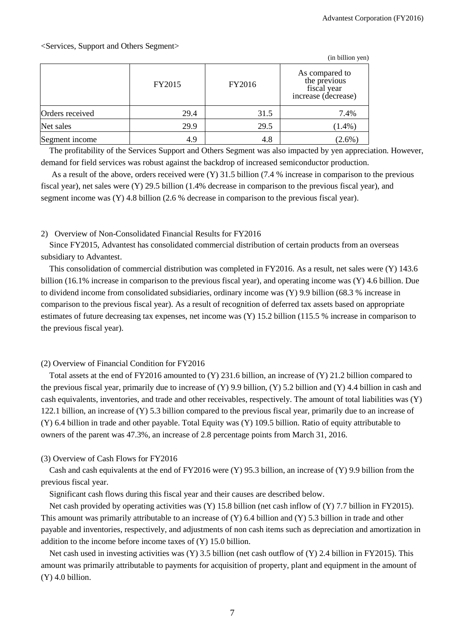|                 |        |        | (in billion yen)                                                     |  |
|-----------------|--------|--------|----------------------------------------------------------------------|--|
|                 | FY2015 | FY2016 | As compared to<br>the previous<br>fiscal year<br>increase (decrease) |  |
| Orders received | 29.4   | 31.5   | 7.4%                                                                 |  |
| Net sales       | 29.9   | 29.5   | $(1.4\%)$                                                            |  |
| Segment income  | 4.9    | 4.8    | $(2.6\%)$                                                            |  |

The profitability of the Services Support and Others Segment was also impacted by yen appreciation. However, demand for field services was robust against the backdrop of increased semiconductor production.

As a result of the above, orders received were (Y) 31.5 billion (7.4 % increase in comparison to the previous fiscal year), net sales were (Y) 29.5 billion (1.4% decrease in comparison to the previous fiscal year), and segment income was (Y) 4.8 billion (2.6 % decrease in comparison to the previous fiscal year).

### 2) Overview of Non-Consolidated Financial Results for FY2016

Since FY2015, Advantest has consolidated commercial distribution of certain products from an overseas subsidiary to Advantest.

This consolidation of commercial distribution was completed in FY2016. As a result, net sales were (Y) 143.6 billion (16.1% increase in comparison to the previous fiscal year), and operating income was (Y) 4.6 billion. Due to dividend income from consolidated subsidiaries, ordinary income was (Y) 9.9 billion (68.3 % increase in comparison to the previous fiscal year). As a result of recognition of deferred tax assets based on appropriate estimates of future decreasing tax expenses, net income was (Y) 15.2 billion (115.5 % increase in comparison to the previous fiscal year).

## (2) Overview of Financial Condition for FY2016

Total assets at the end of FY2016 amounted to (Y) 231.6 billion, an increase of (Y) 21.2 billion compared to the previous fiscal year, primarily due to increase of  $(Y)$  9.9 billion,  $(Y)$  5.2 billion and  $(Y)$  4.4 billion in cash and cash equivalents, inventories, and trade and other receivables, respectively. The amount of total liabilities was (Y) 122.1 billion, an increase of (Y) 5.3 billion compared to the previous fiscal year, primarily due to an increase of (Y) 6.4 billion in trade and other payable. Total Equity was (Y) 109.5 billion. Ratio of equity attributable to owners of the parent was 47.3%, an increase of 2.8 percentage points from March 31, 2016.

## (3) Overview of Cash Flows for FY2016

Cash and cash equivalents at the end of FY2016 were  $(Y)$  95.3 billion, an increase of  $(Y)$  9.9 billion from the previous fiscal year.

Significant cash flows during this fiscal year and their causes are described below.

Net cash provided by operating activities was (Y) 15.8 billion (net cash inflow of (Y) 7.7 billion in FY2015). This amount was primarily attributable to an increase of (Y) 6.4 billion and (Y) 5.3 billion in trade and other payable and inventories, respectively, and adjustments of non cash items such as depreciation and amortization in addition to the income before income taxes of (Y) 15.0 billion.

Net cash used in investing activities was (Y) 3.5 billion (net cash outflow of (Y) 2.4 billion in FY2015). This amount was primarily attributable to payments for acquisition of property, plant and equipment in the amount of (Y) 4.0 billion.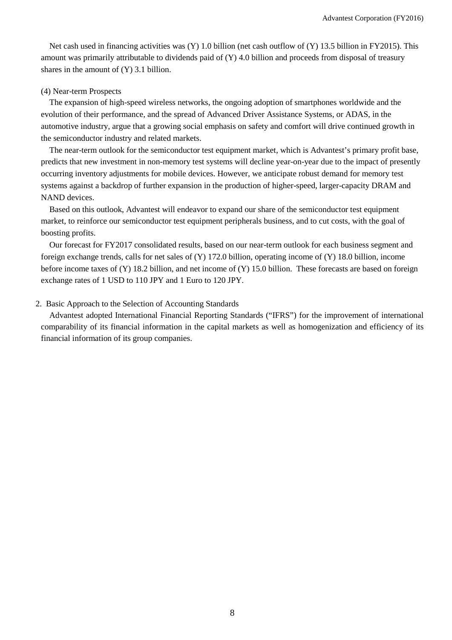Net cash used in financing activities was (Y) 1.0 billion (net cash outflow of (Y) 13.5 billion in FY2015). This amount was primarily attributable to dividends paid of (Y) 4.0 billion and proceeds from disposal of treasury shares in the amount of (Y) 3.1 billion.

## (4) Near-term Prospects

The expansion of high-speed wireless networks, the ongoing adoption of smartphones worldwide and the evolution of their performance, and the spread of Advanced Driver Assistance Systems, or ADAS, in the automotive industry, argue that a growing social emphasis on safety and comfort will drive continued growth in the semiconductor industry and related markets.

The near-term outlook for the semiconductor test equipment market, which is Advantest's primary profit base, predicts that new investment in non-memory test systems will decline year-on-year due to the impact of presently occurring inventory adjustments for mobile devices. However, we anticipate robust demand for memory test systems against a backdrop of further expansion in the production of higher-speed, larger-capacity DRAM and NAND devices.

Based on this outlook, Advantest will endeavor to expand our share of the semiconductor test equipment market, to reinforce our semiconductor test equipment peripherals business, and to cut costs, with the goal of boosting profits.

Our forecast for FY2017 consolidated results, based on our near-term outlook for each business segment and foreign exchange trends, calls for net sales of (Y) 172.0 billion, operating income of (Y) 18.0 billion, income before income taxes of (Y) 18.2 billion, and net income of (Y) 15.0 billion. These forecasts are based on foreign exchange rates of 1 USD to 110 JPY and 1 Euro to 120 JPY.

## 2. Basic Approach to the Selection of Accounting Standards

Advantest adopted International Financial Reporting Standards ("IFRS") for the improvement of international comparability of its financial information in the capital markets as well as homogenization and efficiency of its financial information of its group companies.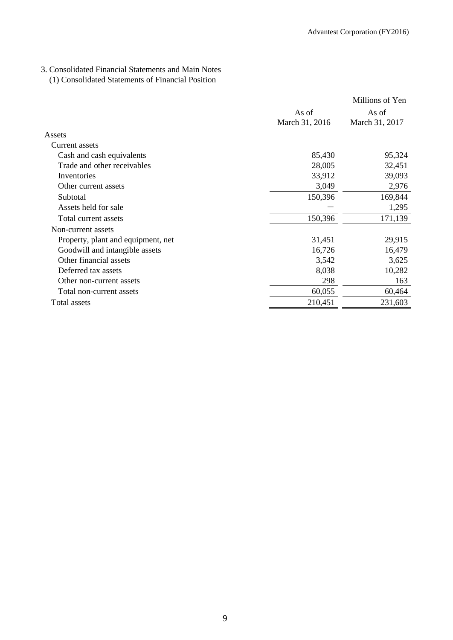## 3. Consolidated Financial Statements and Main Notes

## (1) Consolidated Statements of Financial Position

|                                    |                | Millions of Yen |
|------------------------------------|----------------|-----------------|
|                                    | As of          | As of           |
|                                    | March 31, 2016 | March 31, 2017  |
| Assets                             |                |                 |
| Current assets                     |                |                 |
| Cash and cash equivalents          | 85,430         | 95,324          |
| Trade and other receivables        | 28,005         | 32,451          |
| Inventories                        | 33,912         | 39,093          |
| Other current assets               | 3,049          | 2,976           |
| Subtotal                           | 150,396        | 169,844         |
| Assets held for sale               |                | 1,295           |
| Total current assets               | 150,396        | 171,139         |
| Non-current assets                 |                |                 |
| Property, plant and equipment, net | 31,451         | 29,915          |
| Goodwill and intangible assets     | 16,726         | 16,479          |
| Other financial assets             | 3,542          | 3,625           |
| Deferred tax assets                | 8,038          | 10,282          |
| Other non-current assets           | 298            | 163             |
| Total non-current assets           | 60,055         | 60,464          |
| Total assets                       | 210,451        | 231,603         |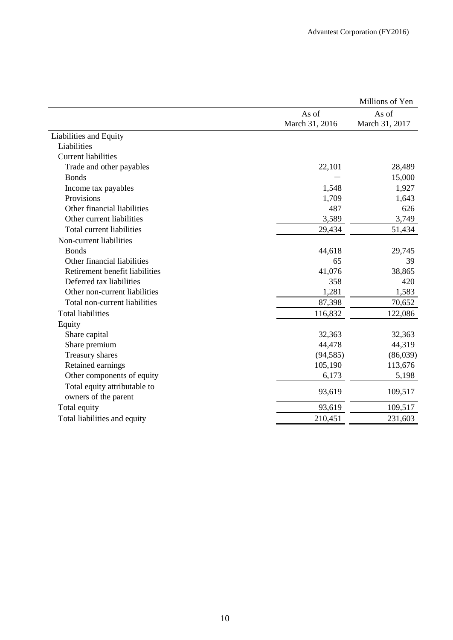|                                                      |                         | Millions of Yen         |
|------------------------------------------------------|-------------------------|-------------------------|
|                                                      | As of<br>March 31, 2016 | As of<br>March 31, 2017 |
| Liabilities and Equity                               |                         |                         |
| Liabilities                                          |                         |                         |
| <b>Current liabilities</b>                           |                         |                         |
| Trade and other payables                             | 22,101                  | 28,489                  |
| <b>Bonds</b>                                         |                         | 15,000                  |
| Income tax payables                                  | 1,548                   | 1,927                   |
| Provisions                                           | 1,709                   | 1,643                   |
| Other financial liabilities                          | 487                     | 626                     |
| Other current liabilities                            | 3,589                   | 3,749                   |
| Total current liabilities                            | 29,434                  | 51,434                  |
| Non-current liabilities                              |                         |                         |
| <b>Bonds</b>                                         | 44,618                  | 29,745                  |
| Other financial liabilities                          | 65                      | 39                      |
| Retirement benefit liabilities                       | 41,076                  | 38,865                  |
| Deferred tax liabilities                             | 358                     | 420                     |
| Other non-current liabilities                        | 1,281                   | 1,583                   |
| Total non-current liabilities                        | 87,398                  | 70,652                  |
| <b>Total liabilities</b>                             | 116,832                 | 122,086                 |
| Equity                                               |                         |                         |
| Share capital                                        | 32,363                  | 32,363                  |
| Share premium                                        | 44,478                  | 44,319                  |
| Treasury shares                                      | (94, 585)               | (86,039)                |
| Retained earnings                                    | 105,190                 | 113,676                 |
| Other components of equity                           | 6,173                   | 5,198                   |
| Total equity attributable to<br>owners of the parent | 93,619                  | 109,517                 |
| Total equity                                         | 93,619                  | 109,517                 |
| Total liabilities and equity                         | 210,451                 | 231,603                 |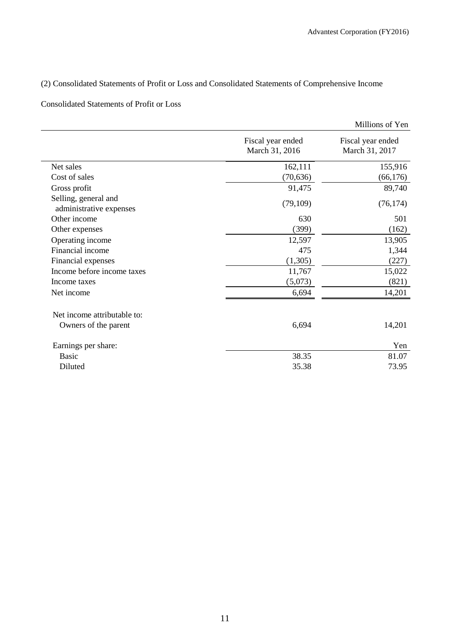## (2) Consolidated Statements of Profit or Loss and Consolidated Statements of Comprehensive Income

## Consolidated Statements of Profit or Loss

|                                                 |                                     | Millions of Yen                     |
|-------------------------------------------------|-------------------------------------|-------------------------------------|
|                                                 | Fiscal year ended<br>March 31, 2016 | Fiscal year ended<br>March 31, 2017 |
| Net sales                                       | 162,111                             | 155,916                             |
| Cost of sales                                   | (70, 636)                           | (66, 176)                           |
| Gross profit                                    | 91,475                              | 89,740                              |
| Selling, general and<br>administrative expenses | (79, 109)                           | (76, 174)                           |
| Other income                                    | 630                                 | 501                                 |
| Other expenses                                  | (399)                               | (162)                               |
| Operating income                                | 12,597                              | 13,905                              |
| Financial income                                | 475                                 | 1,344                               |
| Financial expenses                              | (1,305)                             | (227)                               |
| Income before income taxes                      | 11,767                              | 15,022                              |
| Income taxes                                    | (5,073)                             | (821)                               |
| Net income                                      | 6,694                               | 14,201                              |
| Net income attributable to:                     |                                     |                                     |
| Owners of the parent                            | 6,694                               | 14,201                              |
| Earnings per share:                             |                                     | Yen                                 |
| <b>Basic</b>                                    | 38.35                               | 81.07                               |
| Diluted                                         | 35.38                               | 73.95                               |
|                                                 |                                     |                                     |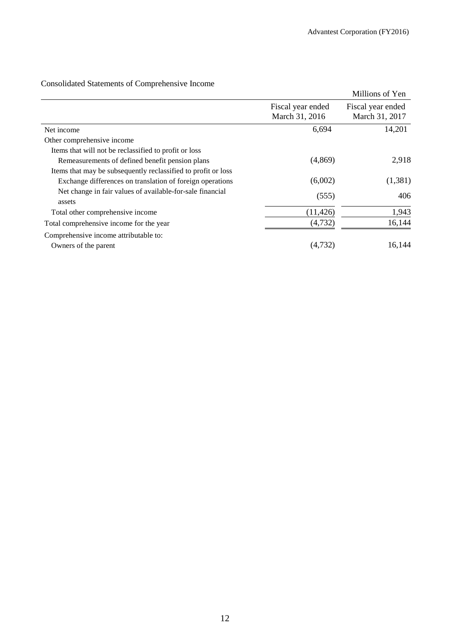| Consolidated Statements of Comprehensive Income |  |
|-------------------------------------------------|--|
|                                                 |  |

|                                                                     |                                     | Millions of Yen                     |
|---------------------------------------------------------------------|-------------------------------------|-------------------------------------|
|                                                                     | Fiscal year ended<br>March 31, 2016 | Fiscal year ended<br>March 31, 2017 |
| Net income                                                          | 6,694                               | 14,201                              |
| Other comprehensive income                                          |                                     |                                     |
| Items that will not be reclassified to profit or loss               |                                     |                                     |
| Remeasurements of defined benefit pension plans                     | (4,869)                             | 2,918                               |
| Items that may be subsequently reclassified to profit or loss       |                                     |                                     |
| Exchange differences on translation of foreign operations           | (6,002)                             | (1,381)                             |
| Net change in fair values of available-for-sale financial<br>assets | (555)                               | 406                                 |
| Total other comprehensive income                                    | (11, 426)                           | 1,943                               |
| Total comprehensive income for the year                             | (4, 732)                            | 16,144                              |
| Comprehensive income attributable to:                               |                                     |                                     |
| Owners of the parent                                                | (4,732)                             | 16,144                              |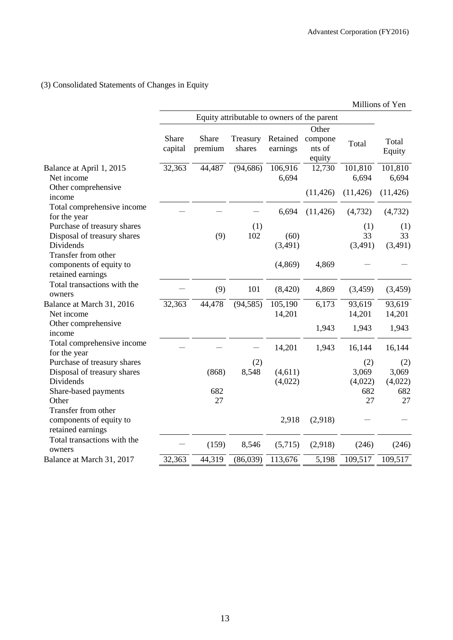## (3) Consolidated Statements of Changes in Equity

|                                                                                                          |                  |                                             |                    |                      |                             |                                      | Millions of Yen                      |
|----------------------------------------------------------------------------------------------------------|------------------|---------------------------------------------|--------------------|----------------------|-----------------------------|--------------------------------------|--------------------------------------|
|                                                                                                          |                  | Equity attributable to owners of the parent |                    |                      |                             |                                      |                                      |
|                                                                                                          |                  |                                             |                    |                      | Other                       |                                      |                                      |
|                                                                                                          | Share<br>capital | Share<br>premium                            | Treasury<br>shares | Retained<br>earnings | compone<br>nts of<br>equity | Total                                | Total<br>Equity                      |
| Balance at April 1, 2015<br>Net income                                                                   | 32,363           | 44,487                                      | (94, 686)          | 106,916<br>6,694     | 12,730                      | 101,810<br>6,694                     | 101,810<br>6,694                     |
| Other comprehensive<br>income                                                                            |                  |                                             |                    |                      | (11, 426)                   | (11, 426)                            | (11, 426)                            |
| Total comprehensive income<br>for the year                                                               |                  |                                             |                    | 6,694                | (11, 426)                   | (4, 732)                             | (4, 732)                             |
| Purchase of treasury shares<br>Disposal of treasury shares                                               |                  | (9)                                         | (1)<br>102         | (60)                 |                             | (1)<br>33                            | (1)<br>33                            |
| Dividends<br>Transfer from other                                                                         |                  |                                             |                    | (3,491)              |                             | (3,491)                              | (3,491)                              |
| components of equity to<br>retained earnings                                                             |                  |                                             |                    | (4, 869)             | 4,869                       |                                      |                                      |
| Total transactions with the<br>owners                                                                    |                  | (9)                                         | 101                | (8,420)              | 4,869                       | (3, 459)                             | (3,459)                              |
| Balance at March 31, 2016<br>Net income                                                                  | 32,363           | 44,478                                      | (94, 585)          | 105,190<br>14,201    | 6,173                       | 93,619<br>14,201                     | 93,619<br>14,201                     |
| Other comprehensive<br>income                                                                            |                  |                                             |                    |                      | 1,943                       | 1,943                                | 1,943                                |
| Total comprehensive income<br>for the year                                                               |                  |                                             |                    | 14,201               | 1,943                       | 16,144                               | 16,144                               |
| Purchase of treasury shares<br>Disposal of treasury shares<br>Dividends<br>Share-based payments<br>Other |                  | (868)<br>682<br>27                          | (2)<br>8,548       | (4,611)<br>(4,022)   |                             | (2)<br>3,069<br>(4,022)<br>682<br>27 | (2)<br>3,069<br>(4,022)<br>682<br>27 |
| Transfer from other<br>components of equity to<br>retained earnings                                      |                  |                                             |                    | 2,918                | (2,918)                     |                                      |                                      |
| Total transactions with the<br>owners                                                                    |                  | (159)                                       | 8,546              | (5,715)              | (2,918)                     | (246)                                | (246)                                |
| Balance at March 31, 2017                                                                                | 32,363           | 44,319                                      | (86,039)           | 113,676              | 5,198                       | 109,517                              | 109,517                              |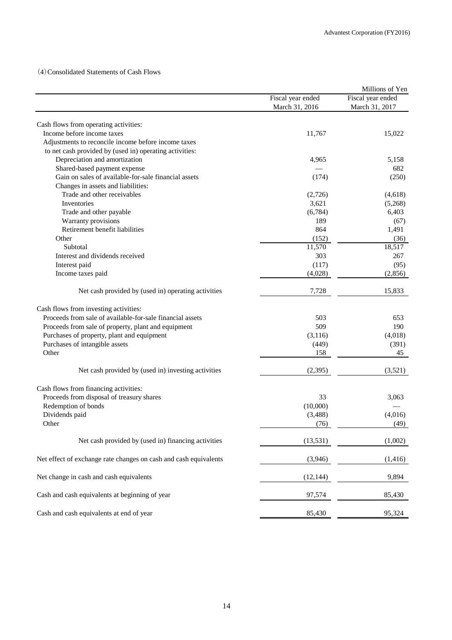## (4)Consolidated Statements of Cash Flows

|                                                                                                    |                   | Millions of Yen   |
|----------------------------------------------------------------------------------------------------|-------------------|-------------------|
|                                                                                                    | Fiscal year ended | Fiscal year ended |
|                                                                                                    | March 31, 2016    | March 31, 2017    |
| Cash flows from operating activities:                                                              |                   |                   |
| Income before income taxes                                                                         | 11,767            | 15,022            |
| Adjustments to reconcile income before income taxes                                                |                   |                   |
| to net cash provided by (used in) operating activities:                                            |                   |                   |
| Depreciation and amortization                                                                      | 4,965             | 5,158             |
| Shared-based payment expense                                                                       |                   | 682               |
| Gain on sales of available-for-sale financial assets                                               | (174)             | (250)             |
| Changes in assets and liabilities:                                                                 |                   |                   |
| Trade and other receivables                                                                        | (2,726)           | (4,618)           |
| Inventories                                                                                        | 3,621             | (5,268)           |
| Trade and other payable                                                                            | (6,784)           | 6,403             |
| Warranty provisions                                                                                | 189               | (67)              |
| Retirement benefit liabilities                                                                     | 864               | 1,491             |
| Other                                                                                              |                   |                   |
| Subtotal                                                                                           | (152)<br>11,570   | (36)<br>18,517    |
| Interest and dividends received                                                                    | 303               | 267               |
| Interest paid                                                                                      | (117)             |                   |
|                                                                                                    |                   | (95)              |
| Income taxes paid                                                                                  | (4,028)           | (2,856)           |
| Net cash provided by (used in) operating activities                                                | 7,728             | 15,833            |
|                                                                                                    |                   |                   |
| Cash flows from investing activities:<br>Proceeds from sale of available-for-sale financial assets | 503               | 653               |
| Proceeds from sale of property, plant and equipment                                                | 509               | 190               |
|                                                                                                    |                   | (4,018)           |
| Purchases of property, plant and equipment                                                         | (3, 116)          | (391)             |
| Purchases of intangible assets<br>Other                                                            | (449)             | 45                |
|                                                                                                    | 158               |                   |
| Net cash provided by (used in) investing activities                                                | (2, 395)          | (3,521)           |
|                                                                                                    |                   |                   |
| Cash flows from financing activities:<br>Proceeds from disposal of treasury shares                 | 33                |                   |
| Redemption of bonds                                                                                | (10,000)          | 3,063             |
| Dividends paid                                                                                     | (3, 488)          | (4,016)           |
| Other                                                                                              | (76)              | (49)              |
|                                                                                                    |                   |                   |
| Net cash provided by (used in) financing activities                                                | (13, 531)         | (1,002)           |
| Net effect of exchange rate changes on cash and cash equivalents                                   | (3,946)           | (1, 416)          |
| Net change in cash and cash equivalents                                                            | (12, 144)         | 9,894             |
| Cash and cash equivalents at beginning of year                                                     | 97,574            | 85,430            |
|                                                                                                    |                   |                   |
| Cash and cash equivalents at end of year                                                           | 85,430            | 95,324            |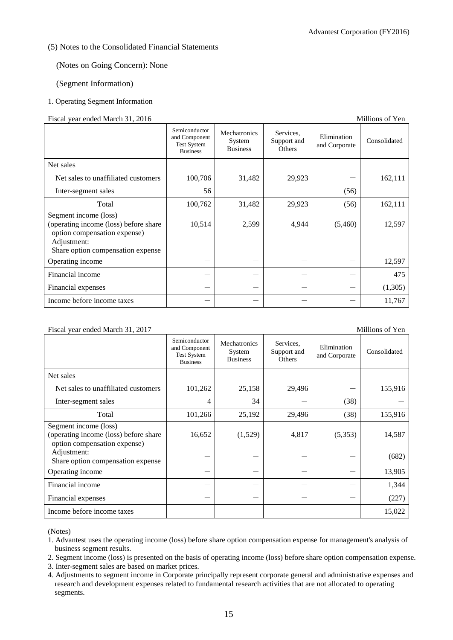### (5) Notes to the Consolidated Financial Statements

(Notes on Going Concern): None

### (Segment Information)

### 1. Operating Segment Information

#### Fiscal year ended March 31, 2016 Millions of Yen

|                                                                                                | Semiconductor<br>and Component<br><b>Test System</b><br><b>Business</b> | Mechatronics<br>System<br><b>Business</b> | Services.<br>Support and<br><b>Others</b> | Elimination<br>and Corporate | Consolidated |
|------------------------------------------------------------------------------------------------|-------------------------------------------------------------------------|-------------------------------------------|-------------------------------------------|------------------------------|--------------|
| Net sales                                                                                      |                                                                         |                                           |                                           |                              |              |
| Net sales to unaffiliated customers                                                            | 100,706                                                                 | 31,482                                    | 29,923                                    |                              | 162,111      |
| Inter-segment sales                                                                            | 56                                                                      |                                           |                                           | (56)                         |              |
| Total                                                                                          | 100,762                                                                 | 31,482                                    | 29,923                                    | (56)                         | 162,111      |
| Segment income (loss)<br>(operating income (loss) before share<br>option compensation expense) | 10,514                                                                  | 2,599                                     | 4,944                                     | (5,460)                      | 12,597       |
| Adjustment:<br>Share option compensation expense                                               |                                                                         |                                           |                                           |                              |              |
| Operating income                                                                               |                                                                         |                                           |                                           |                              | 12,597       |
| Financial income                                                                               |                                                                         |                                           |                                           |                              | 475          |
| Financial expenses                                                                             |                                                                         |                                           |                                           |                              | (1,305)      |
| Income before income taxes                                                                     |                                                                         |                                           |                                           |                              | 11,767       |

### Fiscal year ended March 31, 2017 Millions of Yen

#### Semiconductor and Component Test System Business Mechatronics System Business Services, Support and Others Elimination enfilmation Consolidated<br>and Corporate Consolidated Net sales Net sales to unaffiliated customers  $\begin{vmatrix} 101.262 & 25.158 & 29.496 \end{vmatrix}$   $\begin{vmatrix} 25.916 & -1 \end{vmatrix}$  155,916 Inter-segment sales  $\begin{vmatrix} 4 & 34 & -1 \\ 3 & 0 & -1 \end{vmatrix}$  (38) Total 101,266 25,192 29,496 (38) 155,916 Segment income (loss) (operating income (loss) before share option compensation expense) 16,652 (1,529) 4,817 (5,353) 14,587 Adjustment:  $S<sub>1</sub>$   $S<sub>2</sub>$   $S<sub>3</sub>$   $S<sub>4</sub>$   $S<sub>5</sub>$   $S<sub>5</sub>$   $S<sub>6</sub>$   $S<sub>7</sub>$   $S<sub>8</sub>$   $S<sub>7</sub>$   $S<sub>8</sub>$   $S<sub>9</sub>$   $S<sub>9</sub>$   $S<sub>1</sub>$   $S<sub>1</sub>$   $S<sub>1</sub>$   $S<sub>1</sub>$   $S<sub>1</sub>$   $S<sub>1</sub>$   $S<sub>1</sub>$  Operating income - - - - 13,905 Financial income  $1,344$ Financial expenses  $(227)$ Income before income taxes  $15,022$

(Notes)

1. Advantest uses the operating income (loss) before share option compensation expense for management's analysis of business segment results.

2. Segment income (loss) is presented on the basis of operating income (loss) before share option compensation expense.

3. Inter-segment sales are based on market prices.

4. Adjustments to segment income in Corporate principally represent corporate general and administrative expenses and research and development expenses related to fundamental research activities that are not allocated to operating segments.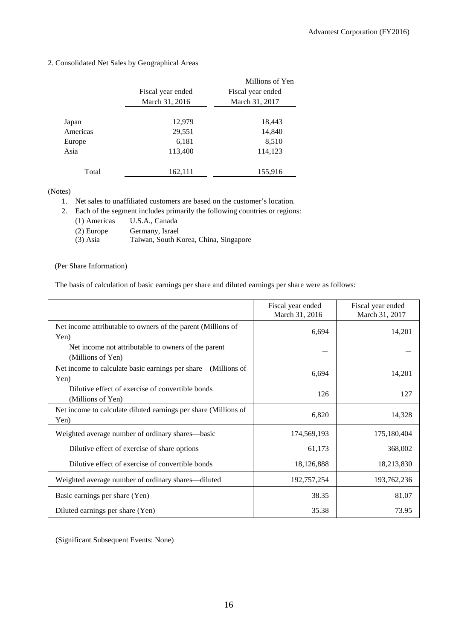|  |  |  |  | 2. Consolidated Net Sales by Geographical Areas |  |
|--|--|--|--|-------------------------------------------------|--|
|--|--|--|--|-------------------------------------------------|--|

|          |                   | Millions of Yen   |
|----------|-------------------|-------------------|
|          | Fiscal year ended | Fiscal year ended |
|          | March 31, 2016    | March 31, 2017    |
|          |                   |                   |
| Japan    | 12,979            | 18,443            |
| Americas | 29,551            | 14,840            |
| Europe   | 6,181             | 8,510             |
| Asia     | 113,400           | 114,123           |
|          |                   |                   |
| Total    | 162,111           | 155,916           |

(Notes)

1. Net sales to unaffiliated customers are based on the customer's location.

2. Each of the segment includes primarily the following countries or regions:

(1) Americas U.S.A., Canada

- (2) Europe Germany, Israel<br>
(3) Asia Taiwan, South K
- Taiwan, South Korea, China, Singapore

### (Per Share Information)

The basis of calculation of basic earnings per share and diluted earnings per share were as follows:

|                                                                          | Fiscal year ended<br>March 31, 2016 | Fiscal year ended<br>March 31, 2017 |
|--------------------------------------------------------------------------|-------------------------------------|-------------------------------------|
| Net income attributable to owners of the parent (Millions of<br>Yen)     | 6,694                               | 14,201                              |
| Net income not attributable to owners of the parent<br>(Millions of Yen) |                                     |                                     |
| Net income to calculate basic earnings per share<br>(Millions of<br>Yen) | 6,694                               | 14,201                              |
| Dilutive effect of exercise of convertible bonds<br>(Millions of Yen)    | 126                                 | 127                                 |
| Net income to calculate diluted earnings per share (Millions of<br>Yen)  | 6,820                               | 14,328                              |
| Weighted average number of ordinary shares—basic                         | 174,569,193                         | 175,180,404                         |
| Dilutive effect of exercise of share options                             | 61,173                              | 368,002                             |
| Dilutive effect of exercise of convertible bonds                         | 18,126,888                          | 18,213,830                          |
| Weighted average number of ordinary shares—diluted                       | 192,757,254                         | 193,762,236                         |
| Basic earnings per share (Yen)                                           | 38.35                               | 81.07                               |
| Diluted earnings per share (Yen)                                         | 35.38                               | 73.95                               |

(Significant Subsequent Events: None)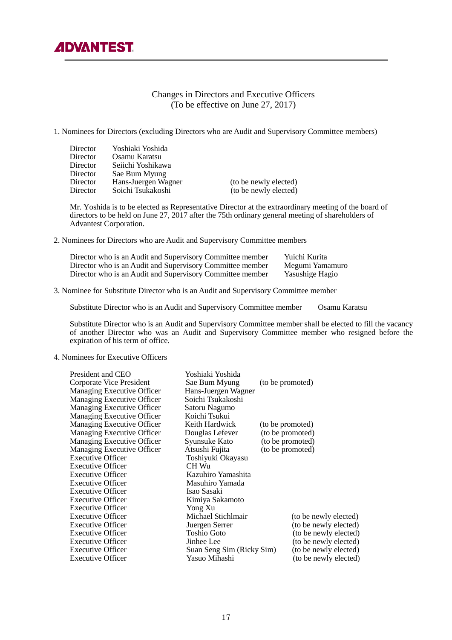## Changes in Directors and Executive Officers (To be effective on June 27, 2017)

#### 1. Nominees for Directors (excluding Directors who are Audit and Supervisory Committee members)

| <b>Director</b><br><b>Director</b><br><b>Director</b><br>Director<br>Director | Yoshiaki Yoshida<br>Osamu Karatsu<br>Seiichi Yoshikawa<br>Sae Bum Myung<br>Hans-Juergen Wagner | (to be newly elected) |
|-------------------------------------------------------------------------------|------------------------------------------------------------------------------------------------|-----------------------|
|                                                                               |                                                                                                |                       |
| <b>Director</b>                                                               | Soichi Tsukakoshi                                                                              | (to be newly elected) |
|                                                                               |                                                                                                |                       |

 Mr. Yoshida is to be elected as Representative Director at the extraordinary meeting of the board of directors to be held on June 27, 2017 after the 75th ordinary general meeting of shareholders of Advantest Corporation.

2. Nominees for Directors who are Audit and Supervisory Committee members

| Director who is an Audit and Supervisory Committee member | Yuichi Kurita   |
|-----------------------------------------------------------|-----------------|
| Director who is an Audit and Supervisory Committee member | Megumi Yamamuro |
| Director who is an Audit and Supervisory Committee member | Yasushige Hagio |

3. Nominee for Substitute Director who is an Audit and Supervisory Committee member

Substitute Director who is an Audit and Supervisory Committee member Osamu Karatsu

Substitute Director who is an Audit and Supervisory Committee member shall be elected to fill the vacancy of another Director who was an Audit and Supervisory Committee member who resigned before the expiration of his term of office.

### 4. Nominees for Executive Officers

| President and CEO          | Yoshiaki Yoshida          |                  |                       |
|----------------------------|---------------------------|------------------|-----------------------|
| Corporate Vice President   | Sae Bum Myung             | (to be promoted) |                       |
| Managing Executive Officer | Hans-Juergen Wagner       |                  |                       |
| Managing Executive Officer | Soichi Tsukakoshi         |                  |                       |
| Managing Executive Officer | Satoru Nagumo             |                  |                       |
| Managing Executive Officer | Koichi Tsukui             |                  |                       |
| Managing Executive Officer | Keith Hardwick            | (to be promoted) |                       |
| Managing Executive Officer | Douglas Lefever           | (to be promoted) |                       |
| Managing Executive Officer | Syunsuke Kato             | (to be promoted) |                       |
| Managing Executive Officer | Atsushi Fujita            | (to be promoted) |                       |
| <b>Executive Officer</b>   | Toshiyuki Okayasu         |                  |                       |
| <b>Executive Officer</b>   | CH Wu                     |                  |                       |
| <b>Executive Officer</b>   | Kazuhiro Yamashita        |                  |                       |
| <b>Executive Officer</b>   | Masuhiro Yamada           |                  |                       |
| <b>Executive Officer</b>   | Isao Sasaki               |                  |                       |
| <b>Executive Officer</b>   | Kimiya Sakamoto           |                  |                       |
| <b>Executive Officer</b>   | Yong Xu                   |                  |                       |
| <b>Executive Officer</b>   | Michael Stichlmair        |                  | (to be newly elected) |
| <b>Executive Officer</b>   | Juergen Serrer            |                  | (to be newly elected) |
| <b>Executive Officer</b>   | <b>Toshio Goto</b>        |                  | (to be newly elected) |
| <b>Executive Officer</b>   | Jinhee Lee                |                  | (to be newly elected) |
| <b>Executive Officer</b>   | Suan Seng Sim (Ricky Sim) |                  | (to be newly elected) |
| <b>Executive Officer</b>   | Yasuo Mihashi             |                  | (to be newly elected) |
|                            |                           |                  |                       |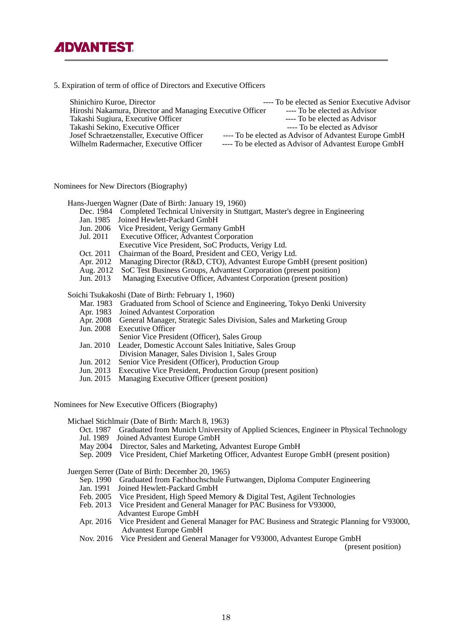5. Expiration of term of office of Directors and Executive Officers

| Shinichiro Kuroe, Director                                | ---- To be elected as Senior Executive Advisor         |
|-----------------------------------------------------------|--------------------------------------------------------|
| Hiroshi Nakamura, Director and Managing Executive Officer | ---- To be elected as Advisor                          |
| Takashi Sugiura, Executive Officer                        | ---- To be elected as Advisor                          |
| Takashi Sekino, Executive Officer                         | ---- To be elected as Advisor                          |
| Josef Schraetzenstaller, Executive Officer                | ---- To be elected as Advisor of Advantest Europe GmbH |
| Wilhelm Radermacher, Executive Officer                    | ---- To be elected as Advisor of Advantest Europe GmbH |
|                                                           |                                                        |

Nominees for New Directors (Biography)

Hans-Juergen Wagner (Date of Birth: January 19, 1960)

- Dec. 1984 Completed Technical University in Stuttgart, Master's degree in Engineering<br>Jan. 1985 Joined Hewlett-Packard GmbH
- Jan. 1985 Joined Hewlett-Packard GmbH<br>Jun. 2006 Vice President, Verigy Germany
- Jun. 2006 Vice President, Verigy Germany GmbH
- Executive Officer, Advantest Corporation
- Executive Vice President, SoC Products, Verigy Ltd.
- Oct. 2011 Chairman of the Board, President and CEO, Verigy Ltd.
- Apr. 2012 Managing Director (R&D, CTO), Advantest Europe GmbH (present position)<br>Aug. 2012 SoC Test Business Groups, Advantest Corporation (present position)
- Aug. 2012 SoC Test Business Groups, Advantest Corporation (present position)<br>Jun. 2013 Managing Executive Officer, Advantest Corporation (present position
- Managing Executive Officer, Advantest Corporation (present position)

Soichi Tsukakoshi (Date of Birth: February 1, 1960)

- Mar. 1983 Graduated from School of Science and Engineering, Tokyo Denki University<br>Apr. 1983 Joined Advantest Corporation
- Apr. 1983 Joined Advantest Corporation<br>Apr. 2008 General Manager, Strategic Sa
- Apr. 2008 General Manager, Strategic Sales Division, Sales and Marketing Group
- Executive Officer
- Senior Vice President (Officer), Sales Group<br>Jan. 2010 Leader. Domestic Account Sales Initiative. Sales
- Leader, Domestic Account Sales Initiative, Sales Group
- Division Manager, Sales Division 1, Sales Group<br>Jun. 2012 Senior Vice President (Officer), Production Group
- Jun. 2012 Senior Vice President (Officer), Production Group<br>Jun. 2013 Executive Vice President, Production Group (prese
- Executive Vice President, Production Group (present position)
- Jun. 2015 Managing Executive Officer (present position)

Nominees for New Executive Officers (Biography)

Michael Stichlmair (Date of Birth: March 8, 1963)

- Oct. 1987 Graduated from Munich University of Applied Sciences, Engineer in Physical Technology Jul. 1989 Joined Advantest Europe GmbH
- May 2004 Director, Sales and Marketing, Advantest Europe GmbH
- Sep. 2009 Vice President, Chief Marketing Officer, Advantest Europe GmbH (present position)

Juergen Serrer (Date of Birth: December 20, 1965)

- Sep. 1990 Graduated from Fachhochschule Furtwangen, Diploma Computer Engineering<br>Jan. 1991 Joined Hewlett-Packard GmbH
- Joined Hewlett-Packard GmbH
- Feb. 2005 Vice President, High Speed Memory & Digital Test, Agilent Technologies
- Feb. 2013 Vice President and General Manager for PAC Business for V93000, Advantest Europe GmbH
- Apr. 2016 Vice President and General Manager for PAC Business and Strategic Planning for V93000, Advantest Europe GmbH
- Nov. 2016 Vice President and General Manager for V93000, Advantest Europe GmbH

(present position)